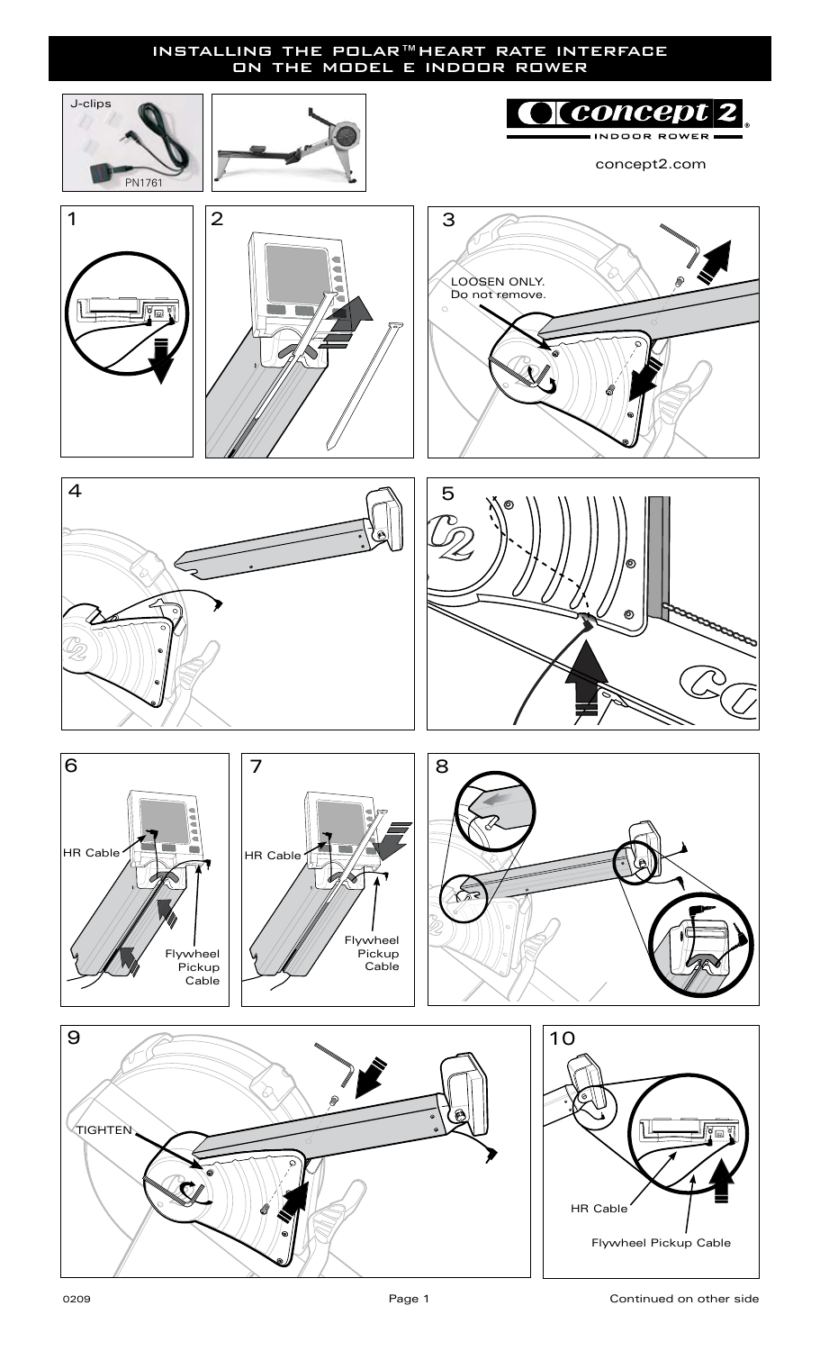## installing the polar™heart rate interface on the model e indoor rower